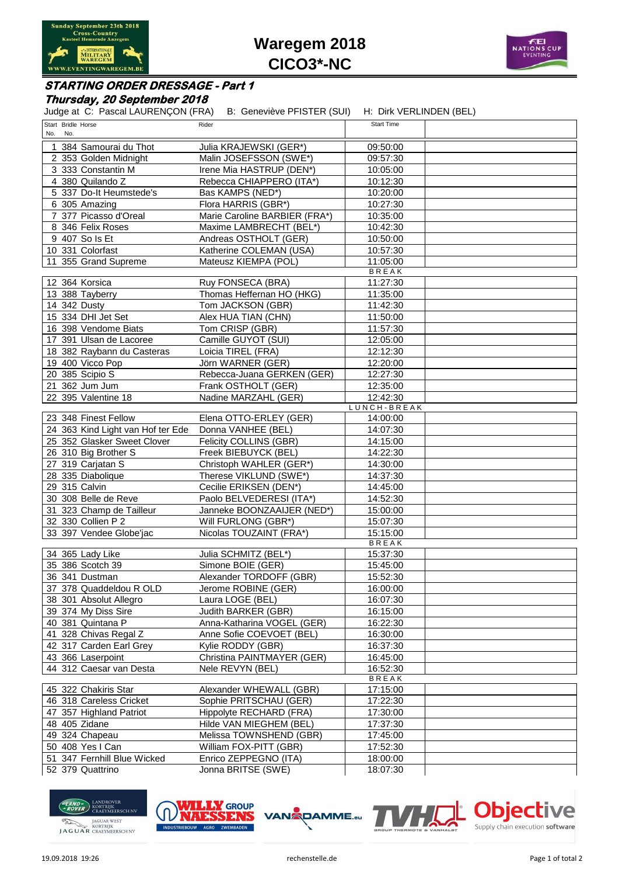

**Waregem 2018 CICO3\*-NC**



## **STARTING ORDER DRESSAGE - Part 1**

### **Thursday, 20 September 2018**

|                                        | Judge at C: Pascal LAURENÇON (FRA) B: Geneviève PFISTER (SUI) H: Dirk VERLINDEN (BEL) |                          |
|----------------------------------------|---------------------------------------------------------------------------------------|--------------------------|
| Start Bridle Horse                     | Rider                                                                                 | <b>Start Time</b>        |
| No. No.                                |                                                                                       |                          |
| 1 384 Samourai du Thot                 | Julia KRAJEWSKI (GER*)                                                                | 09:50:00                 |
| 2 353 Golden Midnight                  | Malin JOSEFSSON (SWE*)                                                                | 09:57:30                 |
| 3 333 Constantin M<br>4 380 Quilando Z | Irene Mia HASTRUP (DEN*)                                                              | 10:05:00                 |
|                                        | Rebecca CHIAPPERO (ITA*)                                                              | 10:12:30                 |
| 5 337 Do-It Heumstede's                | Bas KAMPS (NED*)                                                                      | 10:20:00                 |
| 6 305 Amazing                          | Flora HARRIS (GBR*)                                                                   | 10:27:30                 |
| 7 377 Picasso d'Oreal                  | Marie Caroline BARBIER (FRA*)                                                         | 10:35:00                 |
| 8 346 Felix Roses                      | Maxime LAMBRECHT (BEL*)                                                               | 10:42:30                 |
| 9 407 So Is Et                         | Andreas OSTHOLT (GER)                                                                 | 10:50:00                 |
| 10 331 Colorfast                       | Katherine COLEMAN (USA)                                                               | 10:57:30                 |
| 11 355 Grand Supreme                   | Mateusz KIEMPA (POL)                                                                  | 11:05:00<br><b>BREAK</b> |
| 12 364 Korsica                         | Ruy FONSECA (BRA)                                                                     | 11:27:30                 |
| 13 388 Tayberry                        | Thomas Heffernan HO (HKG)                                                             | 11:35:00                 |
| 14 342 Dusty                           | Tom JACKSON (GBR)                                                                     | 11:42:30                 |
| 15 334 DHI Jet Set                     | Alex HUA TIAN (CHN)                                                                   | 11:50:00                 |
| 16 398 Vendome Biats                   | Tom CRISP (GBR)                                                                       | 11:57:30                 |
| 17 391 Ulsan de Lacoree                | Camille GUYOT (SUI)                                                                   | 12:05:00                 |
| 18 382 Raybann du Casteras             | Loicia TIREL (FRA)                                                                    | 12:12:30                 |
| 19 400 Vicco Pop                       | Jörn WARNER (GER)                                                                     | 12:20:00                 |
| 20 385 Scipio S                        | Rebecca-Juana GERKEN (GER)                                                            | 12:27:30                 |
| 21 362 Jum Jum                         | Frank OSTHOLT (GER)                                                                   | 12:35:00                 |
| 22 395 Valentine 18                    | Nadine MARZAHL (GER)                                                                  | 12:42:30                 |
|                                        |                                                                                       | LUNCH-BREAK              |
| 23 348 Finest Fellow                   | Elena OTTO-ERLEY (GER)                                                                | 14:00:00                 |
| 24 363 Kind Light van Hof ter Ede      | Donna VANHEE (BEL)                                                                    | 14:07:30                 |
| 25 352 Glasker Sweet Clover            | Felicity COLLINS (GBR)                                                                | 14:15:00                 |
| 26 310 Big Brother S                   | Freek BIEBUYCK (BEL)                                                                  | 14:22:30                 |
| 27 319 Carjatan S                      | Christoph WAHLER (GER*)                                                               | 14:30:00                 |
| 28 335 Diabolique                      | Therese VIKLUND (SWE*)                                                                | 14:37:30                 |
| 29 315 Calvin                          | Cecilie ERIKSEN (DEN*)                                                                | 14:45:00                 |
| 30 308 Belle de Reve                   | Paolo BELVEDERESI (ITA*)                                                              | 14:52:30                 |
| 31 323 Champ de Tailleur               | Janneke BOONZAAIJER (NED*)                                                            | 15:00:00                 |
| 32 330 Collien P 2                     | Will FURLONG (GBR*)                                                                   | 15:07:30                 |
| 33 397 Vendee Globe'jac                | Nicolas TOUZAINT (FRA*)                                                               | 15:15:00                 |
|                                        |                                                                                       | BREAK                    |
| 34 365 Lady Like                       | Julia SCHMITZ (BEL*)                                                                  | 15:37:30                 |
| 35 386 Scotch 39                       | Simone BOIE (GER)                                                                     | 15:45:00                 |
| 36 341 Dustman                         | Alexander TORDOFF (GBR)                                                               | 15:52:30                 |
| 37 378 Quaddeldou R OLD                | Jerome ROBINE (GER)                                                                   | 16:00:00                 |
| 38 301 Absolut Allegro                 | Laura LOGE (BEL)                                                                      | 16:07:30                 |
| 39 374 My Diss Sire                    | Judith BARKER (GBR)                                                                   | 16:15:00                 |
| 40 381 Quintana P                      | Anna-Katharina VOGEL (GER)                                                            | 16:22:30                 |
| 41 328 Chivas Regal Z                  | Anne Sofie COEVOET (BEL)                                                              | 16:30:00                 |
| 42 317 Carden Earl Grey                | Kylie RODDY (GBR)                                                                     | 16:37:30                 |
| 43 366 Laserpoint                      | Christina PAINTMAYER (GER)                                                            | 16:45:00                 |
| 44 312 Caesar van Desta                | Nele REVYN (BEL)                                                                      | 16:52:30                 |
|                                        |                                                                                       | <b>BREAK</b>             |
| 45 322 Chakiris Star                   | Alexander WHEWALL (GBR)                                                               | 17:15:00                 |
| 46 318 Careless Cricket                | Sophie PRITSCHAU (GER)                                                                | 17:22:30                 |
| 47 357 Highland Patriot                | Hippolyte RECHARD (FRA)                                                               | 17:30:00                 |
| 48 405 Zidane                          | Hilde VAN MIEGHEM (BEL)                                                               | 17:37:30                 |
| 49 324 Chapeau                         | Melissa TOWNSHEND (GBR)                                                               | 17:45:00                 |
| 50 408 Yes I Can                       | William FOX-PITT (GBR)                                                                | 17:52:30                 |
| 51 347 Fernhill Blue Wicked            | Enrico ZEPPEGNO (ITA)                                                                 | 18:00:00                 |
| 52 379 Quattrino                       | Jonna BRITSE (SWE)                                                                    | 18:07:30                 |